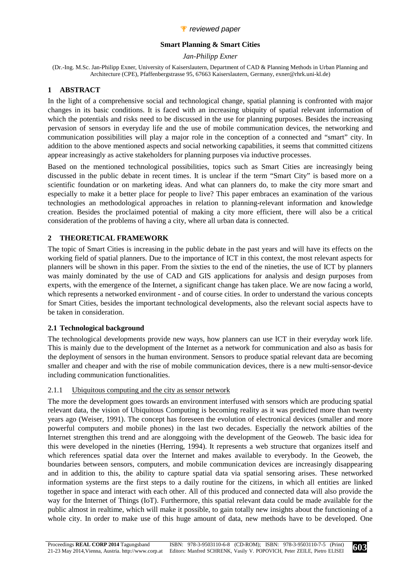

#### **Smart Planning & Smart Cities**

*Jan-Philipp Exner* 

(Dr.-Ing. M.Sc. Jan-Philipp Exner, University of Kaiserslautern, Department of CAD & Planning Methods in Urban Planning and Architecture (CPE), Pfaffenbergstrasse 95, 67663 Kaiserslautern, Germany, exner@rhrk.uni-kl.de)

### **1 ABSTRACT**

In the light of a comprehensive social and technological change, spatial planning is confronted with major changes in its basic conditions. It is faced with an increasing ubiquity of spatial relevant information of which the potentials and risks need to be discussed in the use for planning purposes. Besides the increasing pervasion of sensors in everyday life and the use of mobile communication devices, the networking and communication possibilities will play a major role in the conception of a connected and "smart" city. In addition to the above mentioned aspects and social networking capabilities, it seems that committed citizens appear increasingly as active stakeholders for planning purposes via inductive processes.

Based on the mentioned technological possibilities, topics such as Smart Cities are increasingly being discussed in the public debate in recent times. It is unclear if the term "Smart City" is based more on a scientific foundation or on marketing ideas. And what can planners do, to make the city more smart and especially to make it a better place for people to live? This paper embraces an examination of the various technologies an methodological approaches in relation to planning-relevant information and knowledge creation. Besides the proclaimed potential of making a city more efficient, there will also be a critical consideration of the problems of having a city, where all urban data is connected.

#### **2 THEORETICAL FRAMEWORK**

The topic of Smart Cities is increasing in the public debate in the past years and will have its effects on the working field of spatial planners. Due to the importance of ICT in this context, the most relevant aspects for planners will be shown in this paper. From the sixties to the end of the nineties, the use of ICT by planners was mainly dominated by the use of CAD and GIS applications for analysis and design purposes from experts, with the emergence of the Internet, a significant change has taken place. We are now facing a world, which represents a networked environment - and of course cities. In order to understand the various concepts for Smart Cities, besides the important technological developments, also the relevant social aspects have to be taken in consideration.

#### **2.1 Technological background**

The technological developments provide new ways, how planners can use ICT in their everyday work life. This is mainly due to the development of the Internet as a network for communication and also as basis for the deployment of sensors in the human environment. Sensors to produce spatial relevant data are becoming smaller and cheaper and with the rise of mobile communication devices, there is a new multi-sensor-device including communication functionalities.

#### 2.1.1 Ubiquitous computing and the city as sensor network

The more the development goes towards an environment interfused with sensors which are producing spatial relevant data, the vision of Ubiquitous Computing is becoming reality as it was predicted more than twenty years ago (Weiser, 1991). The concept has foreseen the evolution of electronical devices (smaller and more powerful computers and mobile phones) in the last two decades. Especially the network abilties of the Internet strengthen this trend and are alonggoing with the development of the Geoweb. The basic idea for this were developed in the nineties (Herring, 1994). It represents a web structure that organizes itself and which references spatial data over the Internet and makes available to everybody. In the Geoweb, the boundaries between sensors, computers, and mobile communication devices are increasingly disappearing and in addition to this, the ability to capture spatial data via spatial sensoring arises. These networked information systems are the first steps to a daily routine for the citizens, in which all entities are linked together in space and interact with each other. All of this produced and connected data will also provide the way for the Internet of Things (IoT). Furthermore, this spatial relevant data could be made available for the public almost in realtime, which will make it possible, to gain totally new insights about the functioning of a whole city. In order to make use of this huge amount of data, new methods have to be developed. One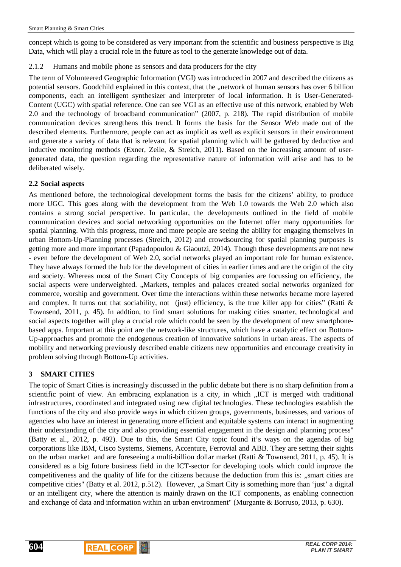concept which is going to be considered as very important from the scientific and business perspective is Big Data, which will play a crucial role in the future as tool to the generate knowledge out of data.

# 2.1.2 Humans and mobile phone as sensors and data producers for the city

The term of Volunteered Geographic Information (VGI) was introduced in 2007 and described the citizens as potential sensors. Goodchild explained in this context, that the "network of human sensors has over 6 billion components, each an intelligent synthesizer and interpreter of local information. It is User-Generated-Content (UGC) with spatial reference. One can see VGI as an effective use of this network, enabled by Web 2.0 and the technology of broadband communication" (2007, p. 218). The rapid distribution of mobile communication devices strengthens this trend. It forms the basis for the Sensor Web made out of the described elements. Furthermore, people can act as implicit as well as explicit sensors in their environment and generate a variety of data that is relevant for spatial planning which will be gathered by deductive and inductive monitoring methods (Exner, Zeile, & Streich, 2011). Based on the increasing amount of usergenerated data, the question regarding the representative nature of information will arise and has to be deliberated wisely.

# **2.2 Social aspects**

As mentioned before, the technological development forms the basis for the citizens' ability, to produce more UGC. This goes along with the development from the Web 1.0 towards the Web 2.0 which also contains a strong social perspective. In particular, the developments outlined in the field of mobile communication devices and social networking opportunities on the Internet offer many opportunities for spatial planning. With this progress, more and more people are seeing the ability for engaging themselves in urban Bottom-Up-Planning processes (Streich, 2012) and crowdsourcing for spatial planning purposes is getting more and more important (Papadopoulou & Giaoutzi, 2014). Though these developments are not new - even before the development of Web 2.0, social networks played an important role for human existence. They have always formed the hub for the development of cities in earlier times and are the origin of the city and society. Whereas most of the Smart City Concepts of big companies are focussing on efficiency, the social aspects were underweighted. "Markets, temples and palaces created social networks organized for commerce, worship and government. Over time the interactions within these networks became more layered and complex. It turns out that sociability, not (just) efficiency, is the true killer app for cities" (Ratti & Townsend, 2011, p. 45). In addtion, to find smart solutions for making cities smarter, technological and social aspects together will play a crucial role which could be seen by the development of new smartphonebased apps. Important at this point are the network-like structures, which have a catalytic effect on Bottom-Up-approaches and promote the endogenous creation of innovative solutions in urban areas. The aspects of mobility and networking previously described enable citizens new opportunities and encourage creativity in problem solving through Bottom-Up activities.

# **3 SMART CITIES**

The topic of Smart Cities is increasingly discussed in the public debate but there is no sharp definition from a scientific point of view. An embracing explanation is a city, in which "ICT is merged with traditional infrastructures, coordinated and integrated using new digital technologies. These technologies establish the functions of the city and also provide ways in which citizen groups, governments, businesses, and various of agencies who have an interest in generating more efficient and equitable systems can interact in augmenting their understanding of the city and also providing essential engagement in the design and planning process" (Batty et al., 2012, p. 492). Due to this, the Smart City topic found it's ways on the agendas of big corporations like IBM, Cisco Systems, Siemens, Accenture, Ferrovial and ABB. They are setting their sights on the urban market and are foreseeing a multi-billion dollar market (Ratti & Townsend, 2011, p. 45). It is considered as a big future business field in the ICT-sector for developing tools which could improve the competitiveness and the quality of life for the citizens because the deduction from this is: "smart cities are competitive cities" (Batty et al. 2012, p.512). However, "a Smart City is something more than 'just' a digital or an intelligent city, where the attention is mainly drawn on the ICT components, as enabling connection and exchange of data and information within an urban environment" (Murgante & Borruso, 2013, p. 630).

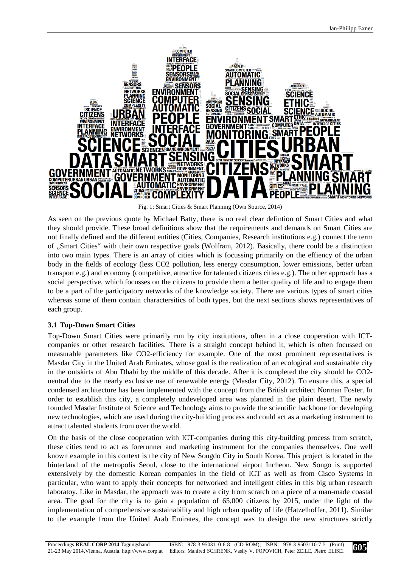

Fig. 1: Smart Cities & Smart Planning (Own Source, 2014)

As seen on the previous quote by Michael Batty, there is no real clear defintion of Smart Cities and what they should provide. These broad definitions show that the requirements and demands on Smart Cities are not finally defined and the different entities (Cities, Companies, Research institutions e.g.) connect the term of "Smart Cities" with their own respective goals (Wolfram, 2012). Basically, there could be a distinction into two main types. There is an array of cities which is focussing primarily on the effiency of the urban body in the fields of ecology (less CO2 pollution, less energy consumption, lower emissions, better urban transport e.g.) and economy (competitive, attractive for talented citizens cities e.g.). The other approach has a social perspective, which focusses on the citizens to provide them a better quality of life and to engage them to be a part of the participatory networks of the knowledge society. There are various types of smart cities whereas some of them contain charactersitics of both types, but the next sections shows representatives of each group.

# **3.1 Top-Down Smart Cities**

Top-Down Smart Cities were primarily run by city institutions, often in a close cooperation with ICTcompanies or other research facilities. There is a straight concept behind it, which is often focussed on measurable parameters like CO2-efficiency for example. One of the most prominent representatives is Masdar City in the United Arab Emirates, whose goal is the realization of an ecological and sustainable city in the outskirts of Abu Dhabi by the middle of this decade. After it is completed the city should be CO2 neutral due to the nearly exclusive use of renewable energy (Masdar City, 2012). To ensure this, a special condensed architecture has been implemented with the concept from the British architect Norman Foster. In order to establish this city, a completely undeveloped area was planned in the plain desert. The newly founded Masdar Institute of Science and Technology aims to provide the scientific backbone for developing new technologies, which are used during the city-building process and could act as a marketing instrument to attract talented students from over the world.

On the basis of the close cooperation with ICT-companies during this city-building process from scratch, these cities tend to act as forerunner and marketing instrument for the companies themselves. One well known example in this context is the city of New Songdo City in South Korea. This project is located in the hinterland of the metropolis Seoul, close to the international airport Incheon. New Songo is supported extensively by the domestic Korean companies in the field of ICT as well as from Cisco Systems in particular, who want to apply their concepts for networked and intelligent cities in this big urban research laboratoy. Like in Masdar, the approach was to create a city from scratch on a piece of a man-made coastal area. The goal for the city is to gain a population of 65,000 citizens by 2015, under the light of the implementation of comprehensive sustainability and high urban quality of life (Hatzelhoffer, 2011). Similar to the example from the United Arab Emirates, the concept was to design the new structures strictly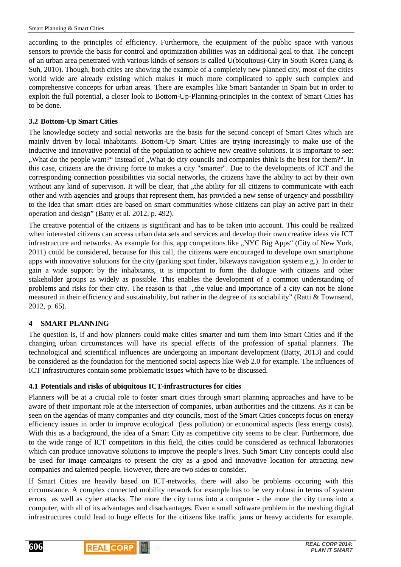according to the principles of efficiency. Furthermore, the equipment of the public space with various sensors to provide the basis for control and optimization abilities was an additional goal to that. The concept of an urban area penetrated with various kinds of sensors is called U(biquitous)-City in South Korea (Jang & Suh, 2010). Though, both cities are showing the example of a completely new planned city, most of the cities world wide are already existing which makes it much more complicated to apply such complex and comprehensive concepts for urban areas. There are examples like Smart Santander in Spain but in order to exploit the full potential, a closer look to Bottom-Up-Planning-principles in the context of Smart Cities has to be done.

### **3.2 Bottom-Up Smart Cities**

The knowledge society and social networks are the basis for the second concept of Smart Cites which are mainly driven by local inhabitants. Bottom-Up Smart Cities are trying increasingly to make use of the inductive and innovative potential of the population to achieve new creative solutions. It is important to see: "What do the people want?" instead of "What do city councils and companies think is the best for them?". In this case, citizens are the driving force to makes a city "smarter". Due to the developments of ICT and the corresponding connection possibilities via social networks, the citizens have the ability to act by their own without any kind of supervison. It will be clear, that "the ability for all citizens to communicate with each other and with agencies and groups that represent them, has provided a new sense of urgency and possibility to the idea that smart cities are based on smart communities whose citizens can play an active part in their operation and design" (Batty et al. 2012, p. 492).

The creative potential of the citizens is significant and has to be taken into account. This could be realized when interested citizens can access urban data sets and services and develop their own creative ideas via ICT infrastructure and networks. As example for this, app competitons like "NYC Big Apps" (City of New York, 2011) could be considered, because for this call, the citizens were encouraged to develope own smartphone apps with innovative solutions for the city (parking spot finder, bikeways navigation system e.g.). In order to gain a wide support by the inhabitants, it is important to form the dialogue with citizens and other stakeholder groups as widely as possible. This enables the development of a common understanding of problems and risks for their city. The reason is that "the value and importance of a city can not be alone measured in their efficiency and sustainability, but rather in the degree of its sociability" (Ratti & Townsend, 2012, p. 65).

# **4 SMART PLANNING**

The question is, if and how planners could make cities smarter and turn them into Smart Cities and if the changing urban circumstances will have its special effects of the profession of spatial planners. The technological and scientifical influences are undergoing an important development (Batty, 2013) and could be considered as the foundation for the mentioned social aspects like Web 2.0 for example. The influences of ICT infrastructures contain some problematic issues which have to be discussed.

### **4.1 Potentials and risks of ubiquitous ICT-infrastructures for cities**

Planners will be at a crucial role to foster smart cities through smart planning approaches and have to be aware of their important role at the intersection of companies, urban authorities and the citizens. As it can be seen on the agendas of many companies and city councils, most of the Smart Cities concepts focus on energy efficiency issues in order to improve ecological (less pollution) or economical aspects (less energy costs). With this as a background, the idea of a Smart City as competitive city seems to be clear. Furthermore, due to the wide range of ICT competitors in this field, the cities could be considered as technical laboratories which can produce innovative solutions to improve the people's lives. Such Smart City concepts could also be used for image campaigns to present the city as a good and innovative location for attracting new companies and talented people. However, there are two sides to consider.

If Smart Cities are heavily based on ICT-networks, there will also be problems occuring with this circumstance. A complex connected mobility network for example has to be very robust in terms of system errors as well as cyber attacks. The more the city turns into a computer - the more the city turns into a computer, with all of its advantages and disadvantages. Even a small software problem in the meshing digital infrastructures could lead to huge effects for the citizens like traffic jams or heavy accidents for example.

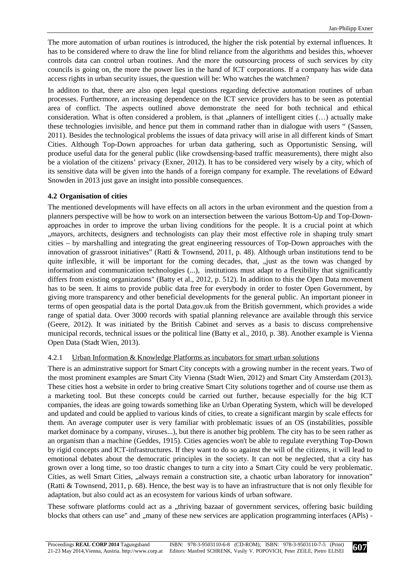The more automation of urban routines is introduced, the higher the risk potential by external influences. It has to be considered where to draw the line for blind reliance from the algorithms and besides this, whoever controls data can control urban routines. And the more the outsourcing process of such services by city councils is going on, the more the power lies in the hand of ICT corporations. If a company has wide data access rights in urban security issues, the question will be: Who watches the watchmen?

In additon to that, there are also open legal questions regarding defective automation routines of urban processes. Furthermore, an increasing dependence on the ICT service providers has to be seen as potential area of conflict. The aspects outlined above demonstrate the need for both technical and ethical consideration. What is often considered a problem, is that  $n$  planners of intelligent cities  $(\ldots)$  actually make these technologies invisible, and hence put them in command rather than in dialogue with users " (Sassen, 2011). Besides the technological problems the issues of data privacy will arise in all different kinds of Smart Cities. Although Top-Down approaches for urban data gathering, such as Opportunistic Sensing, will produce useful data for the general public (like crowdsensing-based traffic measurements), there might also be a violation of the citizens' privacy (Exner, 2012). It has to be considered very wisely by a city, which of its sensitive data will be given into the hands of a foreign company for example. The revelations of Edward Snowden in 2013 just gave an insight into possible consequences.

#### **4.2 Organisation of cities**

The mentioned developments will have effects on all actors in the urban evironment and the question from a planners perspective will be how to work on an intersection between the various Bottom-Up and Top-Downapproaches in order to improve the urban living conditions for the people. It is a crucial point at which "mayors, architects, designers and technologists can play their most effective role in shaping truly smart cities – by marshalling and integrating the great engineering ressources of Top-Down approaches with the innovation of grassroot initiatives" (Ratti & Townsend, 2011, p. 48). Although urban institutions tend to be quite inflexible, it will be important for the coming decades, that, "just as the town was changed by information and communication technologies (...), institutions must adapt to a flexibility that significantly differs from existing organizations" (Batty et al., 2012, p. 512). In addition to this the Open Data movement has to be seen. It aims to provide public data free for everybody in order to foster Open Government, by giving more transparency and other beneficial developments for the general public. An important pioneer in terms of open geospatial data is the portal Data.gov.uk from the British government, which provides a wide range of spatial data. Over 3000 records with spatial planning relevance are available through this service (Geere, 2012). It was initiated by the British Cabinet and serves as a basis to discuss comprehensive municipal records, technical issues or the political line (Batty et al., 2010, p. 38). Another example is Vienna Open Data (Stadt Wien, 2013).

#### 4.2.1 Urban Information & Knowledge Platforms as incubators for smart urban solutions

There is an adminstrative support for Smart City concepts with a growing number in the recent years. Two of the most prominent examples are Smart City Vienna (Stadt Wien, 2012) and Smart City Amsterdam (2013). These cities host a website in order to bring creative Smart City solutions together and of course use them as a marketing tool. But these concepts could be carried out further, because especially for the big ICT companies, the ideas are going towards something like an Urban Operating System, which will be developed and updated and could be applied to various kinds of cities, to create a significant margin by scale effects for them. An average computer user is very familiar with problematic issues of an OS (instabilities, possible market dominace by a company, viruses...), but there is another big problem. The city has to be seen rather as an organism than a machine (Geddes, 1915). Cities agencies won't be able to regulate everything Top-Down by rigid concepts and ICT-infrastructures. If they want to do so against the will of the citizens, it will lead to emotional debates about the democratic principles in the society. It can not be neglected, that a city has grown over a long time, so too drastic changes to turn a city into a Smart City could be very problematic. Cities, as well Smart Cities, "always remain a construction site, a chaotic urban laboratory for innovation" (Ratti & Townsend, 2011, p. 68). Hence, the best way is to have an infrastructure that is not only flexible for adaptation, but also could act as an ecosystem for various kinds of urban software.

These software platforms could act as a "thriving bazaar of government services, offering basic building blocks that others can use" and "many of these new services are application programming interfaces (APls) -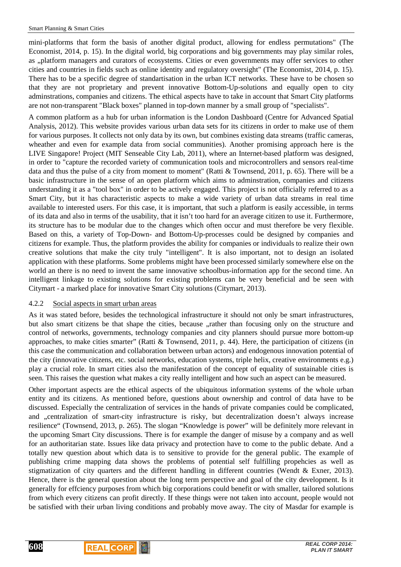mini-platforms that form the basis of another digital product, allowing for endless permutations" (The Economist, 2014, p. 15). In the digital world, big corporations and big governments may play similar roles, as "platform managers and curators of ecosystems. Cities or even governments may offer services to other cities and countries in fields such as online identity and regulatory oversight" (The Economist, 2014, p. 15). There has to be a specific degree of standartisation in the urban ICT networks. These have to be chosen so that they are not proprietary and prevent innovative Bottom-Up-solutions and equally open to city adminstrations, companies and citizens. The ethical aspects have to take in account that Smart City platforms are not non-transparent "Black boxes" planned in top-down manner by a small group of "specialists".

A common platform as a hub for urban information is the London Dashboard (Centre for Advanced Spatial Analysis, 2012). This website provides various urban data sets for its citizens in order to make use of them for various purposes. It collects not only data by its own, but combines existing data streams (traffic cameras, wheather and even for example data from social communities). Another promising approach here is the LIVE Singapore! Project (MIT Senseable City Lab, 2011), where an Internet-based platform was designed, in order to "capture the recorded variety of communication tools and microcontrollers and sensors real-time data and thus the pulse of a city from moment to moment" (Ratti & Townsend, 2011, p. 65). There will be a basic infrastructure in the sense of an open platform which aims to adminstration, companies and citizens understanding it as a "tool box" in order to be actively engaged. This project is not officially referred to as a Smart City, but it has characteristic aspects to make a wide variety of urban data streams in real time available to interested users. For this case, it is important, that such a platform is easily accessible, in terms of its data and also in terms of the usability, that it isn't too hard for an average citizen to use it. Furthermore, its structure has to be modular due to the changes which often occur and must therefore be very flexible. Based on this, a variety of Top-Down- and Bottom-Up-processes could be designed by companies and citizens for example. Thus, the platform provides the ability for companies or individuals to realize their own creative solutions that make the city truly "intelligent". It is also important, not to design an isolated application with these platforms. Some problems might have been processed similarly somewhere else on the world an there is no need to invent the same innovative schoolbus-information app for the second time. An intelligent linkage to existing solutions for existing problems can be very beneficial and be seen with Citymart - a marked place for innovative Smart City solutions (Citymart, 2013).

#### 4.2.2 Social aspects in smart urban areas

As it was stated before, besides the technological infrastructure it should not only be smart infrastructures, but also smart citizens be that shape the cities, because "rather than focusing only on the structure and control of networks, governments, technology companies and city planners should pursue more bottom-up approaches, to make cities smarter" (Ratti & Townsend, 2011, p. 44). Here, the participation of citizens (in this case the communication and collaboration between urban actors) and endogenous innovation potential of the city (innovative citizens, etc. social networks, education systems, triple helix, creative environments e.g.) play a crucial role. In smart cities also the manifestation of the concept of equality of sustainable cities is seen. This raises the question what makes a city really intelligent and how such an aspect can be measured.

Other important aspects are the ethical aspects of the ubiquitous information systems of the whole urban entity and its citizens. As mentioned before, questions about ownership and control of data have to be discussed. Especially the centralization of services in the hands of private companies could be complicated, and "centralization of smart-city infrastructure is risky, but decentralization doesn't always increase resilience" (Townsend, 2013, p. 265). The slogan "Knowledge is power" will be definitely more relevant in the upcoming Smart City discussions. There is for example the danger of misuse by a company and as well for an authoritarian state. Issues like data privacy and protection have to come to the public debate. And a totally new question about which data is to sensitive to provide for the general public. The example of publishing crime mapping data shows the problems of potential self fulfilling propehcies as well as stigmatization of city quarters and the different handling in different countries (Wendt & Exner, 2013). Hence, there is the general question about the long term perspective and goal of the city development. Is it generally for effciency purposes from which big corporations could benefit or with smaller, tailored solutions from which every citizens can profit directly. If these things were not taken into account, people would not be satisfied with their urban living conditions and probably move away. The city of Masdar for example is

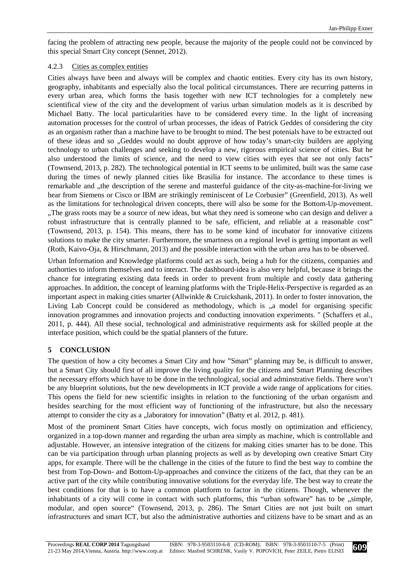facing the problem of attracting new people, because the majority of the people could not be convinced by this special Smart City concept (Sennet, 2012).

#### 4.2.3 Cities as complex entities

Cities always have been and always will be complex and chaotic entities. Every city has its own history, geography, inhabitants and especially also the local political circumstances. There are recurring patterns in every urban area, which forms the basis together with new ICT technologies for a completely new scientifical view of the city and the development of varius urban simulation models as it is described by Michael Batty. The local particularities have to be considered every time. In the light of increasing automation processes for the control of urban processes, the ideas of Patrick Geddes of considering the city as an organism rather than a machine have to be brought to mind. The best potenials have to be extracted out of these ideas and so "Geddes would no doubt approve of how today's smart-city builders are applying technology to urban challenges and seeking to develop a new, rigorous empirical science of cities. But he also understood the limits of science, and the need to view cities with eyes that see not only facts" (Townsend, 2013, p. 282). The technological potential in ICT seems to be unlimited, built was the same case during the times of newly planned cities like Brasilia for instance. The accordance to these times is remarkable and "the description of the serene and masterful guidance of the city-as-machine-for-living we hear from Siemens or Cisco or IBM are strikingly reminiscent of Le Corbusier" (Greenfield, 2013). As well as the limitations for technological driven concepts, there will also be some for the Bottom-Up-movement. "The grass roots may be a source of new ideas, but what they need is someone who can design and deliver a robust infrastructure that is centrally planned to be safe, efficient, and reliable at a reasonable cost" (Townsend, 2013, p. 154). This means, there has to be some kind of incubator for innovative citizens solutions to make the city smarter. Furthermore, the smartness on a regional level is getting important as well (Roth, Kaivo-Oja, & Hirschmann, 2013) and the possible interaction with the urban area has to be observed.

Urban Information and Knowledge platforms could act as such, being a hub for the citizens, companies and authorties to inform themselves and to interact. The dashboard-idea is also very helpful, because it brings the chance for integrating existing data feeds in order to prevent from multiple and costly data gathering approaches. In addition, the concept of learning platforms with the Triple-Helix-Perspective is regarded as an important aspect in making cities smarter (Allwinkle & Cruickshank, 2011). In order to foster innovation, the Living Lab Concept could be considered as methodology, which is "a model for organising specific innovation programmes and innovation projects and conducting innovation experiments. " (Schaffers et al., 2011, p. 444). All these social, technological and administrative requirments ask for skilled people at the interface position, which could be the spatial planners of the future.

# **5 CONCLUSION**

The question of how a city becomes a Smart City and how "Smart" planning may be, is difficult to answer, but a Smart City should first of all improve the living quality for the citizens and Smart Planning describes the necessary efforts which have to be done in the technological, social and adminstrative fields. There won't be any blueprint solutions, but the new developments in ICT provide a wide range of applications for cities. This opens the field for new scientific insights in relation to the functioning of the urban organism and besides searching for the most efficient way of functioning of the infrastructure, but also the necessary attempt to consider the city as a "laboratory for innovation" (Batty et al. 2012, p. 481).

Most of the prominent Smart Cities have concepts, wich focus mostly on optimization and efficiency, organized in a top-down manner and regarding the urban area simply as machine, which is controllable and adjustable. However, an intensive integration of the citizens for making cities smarter has to be done. This can be via participation through urban planning projects as well as by developing own creative Smart City apps, for example. There will be the challenge in the cities of the future to find the best way to combine the best from Top-Down- and Bottom-Up-approaches and convince the citizens of the fact, that they can be an active part of the city while contributing innovative solutions for the everyday life. The best way to create the best conditions for that is to have a common plattform to factor in the citizens. Though, whenever the inhabitants of a city will come in contact with such platforms, this "urban software" has to be "simple, modular, and open source" (Townsend, 2013, p. 286). The Smart Cities are not just built on smart infrastructures and smart ICT, but also the administrative authorties and citizens have to be smart and as an